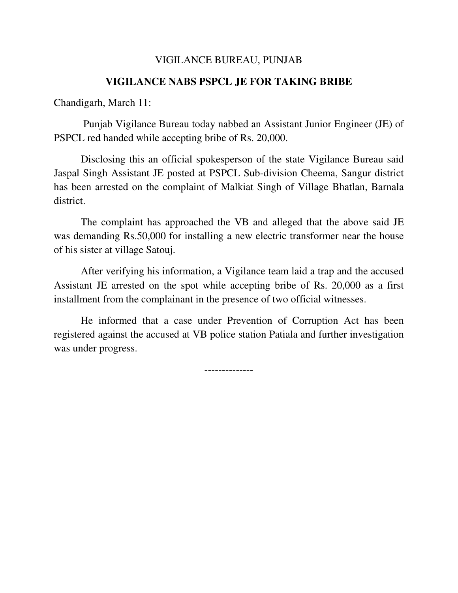## VIGILANCE BUREAU, PUNJAB

## **VIGILANCE NABS PSPCL JE FOR TAKING BRIBE**

Chandigarh, March 11:

 Punjab Vigilance Bureau today nabbed an Assistant Junior Engineer (JE) of PSPCL red handed while accepting bribe of Rs. 20,000.

Disclosing this an official spokesperson of the state Vigilance Bureau said Jaspal Singh Assistant JE posted at PSPCL Sub-division Cheema, Sangur district has been arrested on the complaint of Malkiat Singh of Village Bhatlan, Barnala district.

The complaint has approached the VB and alleged that the above said JE was demanding Rs.50,000 for installing a new electric transformer near the house of his sister at village Satouj.

After verifying his information, a Vigilance team laid a trap and the accused Assistant JE arrested on the spot while accepting bribe of Rs. 20,000 as a first installment from the complainant in the presence of two official witnesses.

He informed that a case under Prevention of Corruption Act has been registered against the accused at VB police station Patiala and further investigation was under progress.

--------------